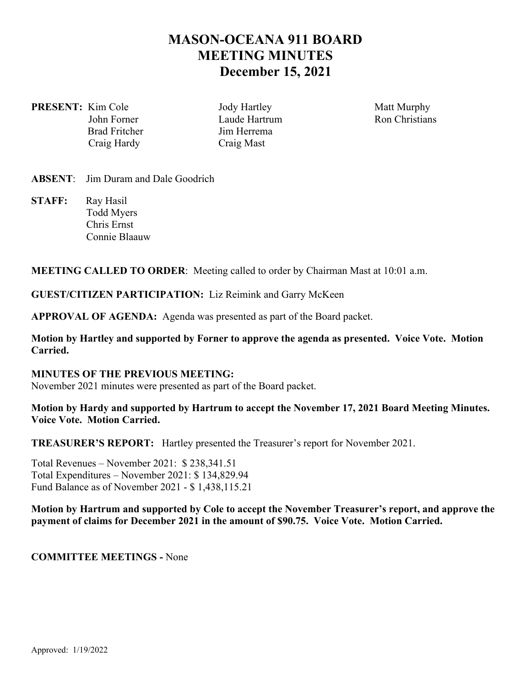# **MASON-OCEANA 911 BOARD MEETING MINUTES December 15, 2021**

**PRESENT:** Kim Cole *Jody Hartley* Matt Murphy Craig Hardy Craig Mast

John Forner **Laude Hartrum** Ron Christians Brad Fritcher **Jim Herrema** 

## **ABSENT**: Jim Duram and Dale Goodrich

**STAFF:** Ray Hasil Todd Myers Chris Ernst Connie Blaauw

## **MEETING CALLED TO ORDER**: Meeting called to order by Chairman Mast at 10:01 a.m.

**GUEST/CITIZEN PARTICIPATION:** Liz Reimink and Garry McKeen

**APPROVAL OF AGENDA:** Agenda was presented as part of the Board packet.

**Motion by Hartley and supported by Forner to approve the agenda as presented. Voice Vote. Motion Carried.** 

## **MINUTES OF THE PREVIOUS MEETING:**

November 2021 minutes were presented as part of the Board packet.

## **Motion by Hardy and supported by Hartrum to accept the November 17, 2021 Board Meeting Minutes. Voice Vote. Motion Carried.**

**TREASURER'S REPORT:** Hartley presented the Treasurer's report for November 2021.

Total Revenues – November 2021: \$ 238,341.51 Total Expenditures – November 2021: \$ 134,829.94 Fund Balance as of November 2021 - \$ 1,438,115.21

#### **Motion by Hartrum and supported by Cole to accept the November Treasurer's report, and approve the payment of claims for December 2021 in the amount of \$90.75. Voice Vote. Motion Carried.**

#### **COMMITTEE MEETINGS -** None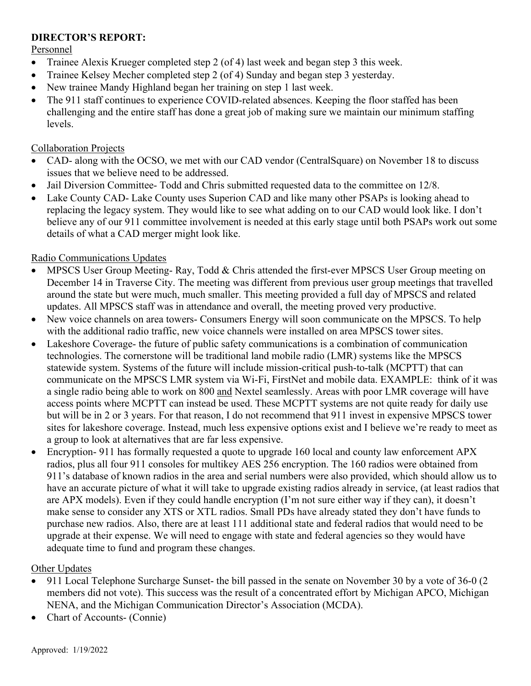# **DIRECTOR'S REPORT:**

## Personnel

- Trainee Alexis Krueger completed step 2 (of 4) last week and began step 3 this week.
- Trainee Kelsey Mecher completed step 2 (of 4) Sunday and began step 3 yesterday.
- New trainee Mandy Highland began her training on step 1 last week.
- The 911 staff continues to experience COVID-related absences. Keeping the floor staffed has been challenging and the entire staff has done a great job of making sure we maintain our minimum staffing levels.

## Collaboration Projects

- CAD- along with the OCSO, we met with our CAD vendor (CentralSquare) on November 18 to discuss issues that we believe need to be addressed.
- Jail Diversion Committee- Todd and Chris submitted requested data to the committee on 12/8.
- Lake County CAD- Lake County uses Superion CAD and like many other PSAPs is looking ahead to replacing the legacy system. They would like to see what adding on to our CAD would look like. I don't believe any of our 911 committee involvement is needed at this early stage until both PSAPs work out some details of what a CAD merger might look like.

# Radio Communications Updates

- MPSCS User Group Meeting- Ray, Todd & Chris attended the first-ever MPSCS User Group meeting on December 14 in Traverse City. The meeting was different from previous user group meetings that travelled around the state but were much, much smaller. This meeting provided a full day of MPSCS and related updates. All MPSCS staff was in attendance and overall, the meeting proved very productive.
- New voice channels on area towers- Consumers Energy will soon communicate on the MPSCS. To help with the additional radio traffic, new voice channels were installed on area MPSCS tower sites.
- Lakeshore Coverage- the future of public safety communications is a combination of communication technologies. The cornerstone will be traditional land mobile radio (LMR) systems like the MPSCS statewide system. Systems of the future will include mission-critical push-to-talk (MCPTT) that can communicate on the MPSCS LMR system via Wi-Fi, FirstNet and mobile data. EXAMPLE: think of it was a single radio being able to work on 800 and Nextel seamlessly. Areas with poor LMR coverage will have access points where MCPTT can instead be used. These MCPTT systems are not quite ready for daily use but will be in 2 or 3 years. For that reason, I do not recommend that 911 invest in expensive MPSCS tower sites for lakeshore coverage. Instead, much less expensive options exist and I believe we're ready to meet as a group to look at alternatives that are far less expensive.
- Encryption- 911 has formally requested a quote to upgrade 160 local and county law enforcement APX radios, plus all four 911 consoles for multikey AES 256 encryption. The 160 radios were obtained from 911's database of known radios in the area and serial numbers were also provided, which should allow us to have an accurate picture of what it will take to upgrade existing radios already in service, (at least radios that are APX models). Even if they could handle encryption (I'm not sure either way if they can), it doesn't make sense to consider any XTS or XTL radios. Small PDs have already stated they don't have funds to purchase new radios. Also, there are at least 111 additional state and federal radios that would need to be upgrade at their expense. We will need to engage with state and federal agencies so they would have adequate time to fund and program these changes.

# Other Updates

- 911 Local Telephone Surcharge Sunset- the bill passed in the senate on November 30 by a vote of 36-0 (2 members did not vote). This success was the result of a concentrated effort by Michigan APCO, Michigan NENA, and the Michigan Communication Director's Association (MCDA).
- Chart of Accounts- (Connie)